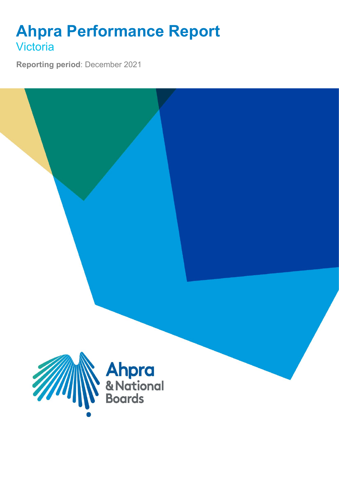## **Ahpra Performance Report Victoria**

**Reporting period**: December 2021

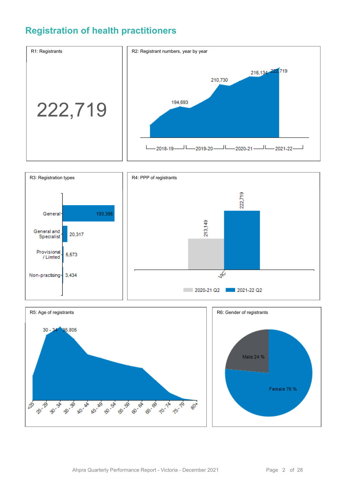### **Registration of health practitioners**





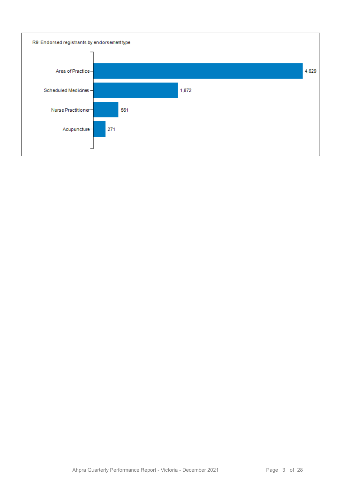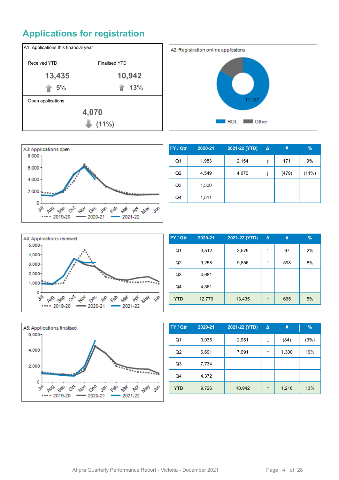## **Applications for registration**







| FY / Qtr       | 2020-21 | 2021-22 (YTD) | Δ | #     | $\frac{9}{6}$ |
|----------------|---------|---------------|---|-------|---------------|
| Q1             | 1,983   | 2,154         | ↑ | 171   | 9%            |
| Q <sub>2</sub> | 4,549   | 4,070         | ↓ | (479) | (11%)         |
| Q <sub>3</sub> | 1,500   |               |   |       |               |
| Q4             | 1,511   |               |   |       |               |



| FY / Qtr       | 2020-21 | 2021-22 (YTD) | $\Delta$ | #   | $\%$ |
|----------------|---------|---------------|----------|-----|------|
| Q <sub>1</sub> | 3,512   | 3,579         | ↑        | 67  | 2%   |
| Q <sub>2</sub> | 9,258   | 9,856         | ↑        | 598 | 6%   |
| Q <sub>3</sub> | 4,681   |               |          |     |      |
| Q4             | 4,361   |               |          |     |      |
| <b>YTD</b>     | 12,770  | 13,435        | ↑        | 665 | 5%   |



| FY / Qtr       | 2020-21 | 2021-22 (YTD) | Δ | #     | $\frac{9}{6}$ |
|----------------|---------|---------------|---|-------|---------------|
| Q <sub>1</sub> | 3,035   | 2,951         | ↓ | (84)  | (3%)          |
| Q <sub>2</sub> | 6,691   | 7,991         | ↑ | 1,300 | 19%           |
| Q <sub>3</sub> | 7,734   |               |   |       |               |
| Q4             | 4,372   |               |   |       |               |
| <b>YTD</b>     | 9,726   | 10,942        |   | 1,216 | 13%           |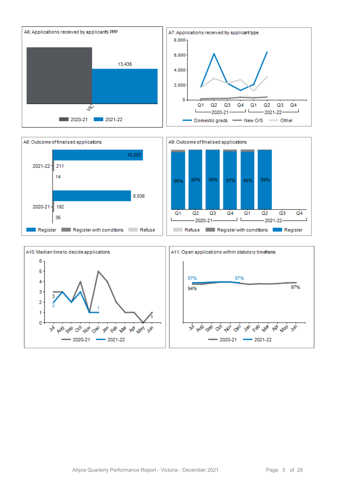



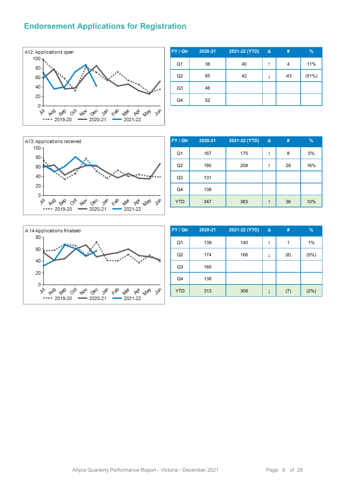#### **Endorsement Applications for Registration**



| FY / Qtr       | 2020-21 | 2021-22 (YTD) | △ | #     | $\%$  |
|----------------|---------|---------------|---|-------|-------|
| Q <sub>1</sub> | 36      | 40            | ↑ | 4     | 11%   |
| Q2             | 85      | 42            | ↓ | $-43$ | (51%) |
| Q3             | 46      |               |   |       |       |
| Q4             | 52      |               |   |       |       |



| FY / Qtr       | 2020-21 | 2021-22 (YTD) | $\Delta$ | #  | %   |
|----------------|---------|---------------|----------|----|-----|
| Q <sub>1</sub> | 167     | 175           | ↑        | 8  | 5%  |
| Q2             | 180     | 208           | ↑        | 28 | 16% |
| Q <sub>3</sub> | 131     |               |          |    |     |
| Q4             | 138     |               |          |    |     |
| <b>YTD</b>     | 347     | 383           | ↑        | 36 | 10% |



| FY / Qtr       | 2020-21 | 2021-22 (YTD) | Δ | #   | %    |
|----------------|---------|---------------|---|-----|------|
| Q <sub>1</sub> | 139     | 140           | ↑ | 1   | 1%   |
| Q2             | 174     | 166           | ↓ | (8) | (5%) |
| Q3             | 165     |               |   |     |      |
| Q4             | 138     |               |   |     |      |
| <b>YTD</b>     | 313     | 306           |   | (7) | (2%) |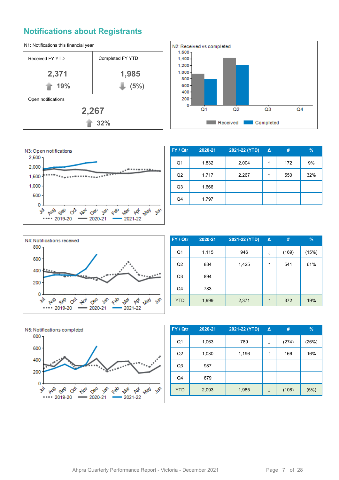#### **Notifications about Registrants**







| FY / Qtr       | 2020-21 | 2021-22 (YTD) | Δ | #   | $\%$ |
|----------------|---------|---------------|---|-----|------|
| Q1             | 1,832   | 2,004         | ↑ | 172 | 9%   |
| Q <sub>2</sub> | 1,717   | 2,267         | ↑ | 550 | 32%  |
| Q <sub>3</sub> | 1,666   |               |   |     |      |
| Q4             | 1,797   |               |   |     |      |



| FY / Qtr       | 2020-21 | 2021-22 (YTD) | $\Delta$ | #     | $\frac{9}{6}$ |
|----------------|---------|---------------|----------|-------|---------------|
| Q <sub>1</sub> | 1,115   | 946           | ↓        | (169) | (15%)         |
| Q2             | 884     | 1,425         | ↑        | 541   | 61%           |
| Q <sub>3</sub> | 894     |               |          |       |               |
| Q4             | 783     |               |          |       |               |
| <b>YTD</b>     | 1,999   | 2,371         | ↑        | 372   | 19%           |



| FY / Qtr       | 2020-21 | 2021-22 (YTD) | Δ | #     | $\frac{9}{6}$ |
|----------------|---------|---------------|---|-------|---------------|
| Q1             | 1,063   | 789           | ↓ | (274) | (26%)         |
| Q <sub>2</sub> | 1,030   | 1,196         | ↑ | 166   | 16%           |
| Q <sub>3</sub> | 987     |               |   |       |               |
| Q4             | 679     |               |   |       |               |
| <b>YTD</b>     | 2,093   | 1,985         | ↓ | (108) | (5%)          |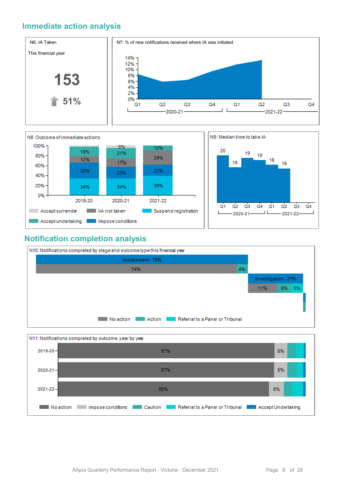#### **Immediate action analysis**





#### **Notification completion analysis**



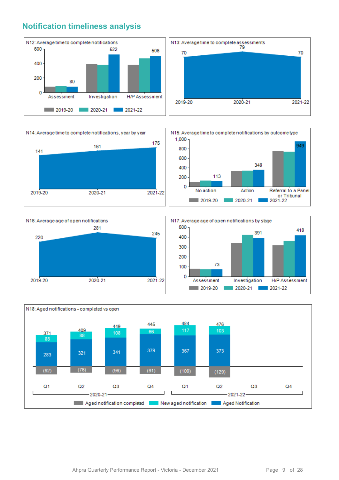#### **Notification timeliness analysis**









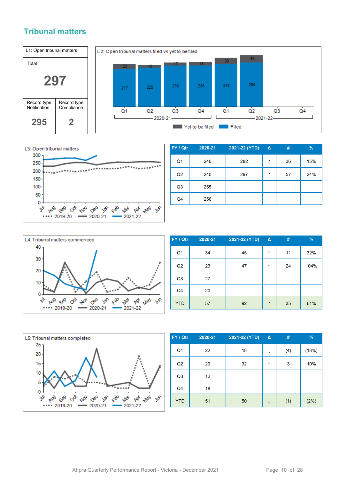#### **Tribunal matters**





| FY / Qtr       | 2020-21 | 2021-22 (YTD) | $\Delta$ | #  | %   |
|----------------|---------|---------------|----------|----|-----|
| Q <sub>1</sub> | 246     | 282           | ↑        | 36 | 15% |
| Q2             | 240     | 297           |          | 57 | 24% |
| Q <sub>3</sub> | 255     |               |          |    |     |
| Q4             | 256     |               |          |    |     |



| FY / Qtr       | 2020-21 | 2021-22 (YTD) | $\Delta$ | #  | %    |
|----------------|---------|---------------|----------|----|------|
| Q1             | 34      | 45            | ↑        | 11 | 32%  |
| Q <sub>2</sub> | 23      | 47            |          | 24 | 104% |
| Q3             | 27      |               |          |    |      |
| Q4             | 20      |               |          |    |      |
| <b>YTD</b>     | 57      | 92            | ↑        | 35 | 61%  |



| FY / Qtr       | 2020-21 | 2021-22 (YTD) | Δ | #   | %     |
|----------------|---------|---------------|---|-----|-------|
| Q <sub>1</sub> | 22      | 18            | ↓ | (4) | (18%) |
| Q2             | 29      | 32            | ↑ | 3   | 10%   |
| Q3             | 12      |               |   |     |       |
| Q4             | 18      |               |   |     |       |
| <b>YTD</b>     | 51      | 50            |   | (1) | (2%)  |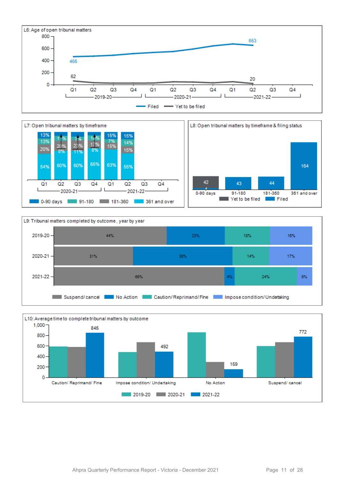







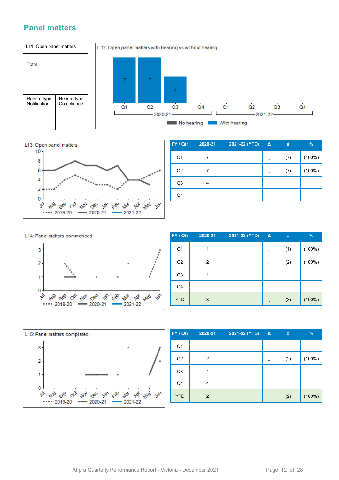#### **Panel matters**





| FY / Qtr       | 2020-21 | 2021-22 (YTD) | $\Delta$ | #   | $\frac{9}{6}$ |
|----------------|---------|---------------|----------|-----|---------------|
| Q <sub>1</sub> |         |               | ↓        | (7) | (100%)        |
| Q2             |         |               | ↓        | (7) | (100%)        |
| Q <sub>3</sub> | 4       |               |          |     |               |
| Q4             |         |               |          |     |               |



| FY / Qtr       | 2020-21 | 2021-22 (YTD) | $\Delta$ | #   | $\frac{9}{6}$ |
|----------------|---------|---------------|----------|-----|---------------|
| Q <sub>1</sub> |         |               | ↓        | (1) | (100%)        |
| Q2             | 2       |               |          | (2) | $(100\%)$     |
| Q <sub>3</sub> |         |               |          |     |               |
| Q4             |         |               |          |     |               |
| <b>YTD</b>     | 3       |               |          | (3) | (100%)        |



| FY / Qtr       | 2020-21 | 2021-22 (YTD) | $\Delta$ | #   | %         |
|----------------|---------|---------------|----------|-----|-----------|
| Q <sub>1</sub> |         |               |          |     |           |
| Q2             | 2       |               | ↓        | (2) | (100%)    |
| Q <sub>3</sub> | 4       |               |          |     |           |
| Q4             | 4       |               |          |     |           |
| <b>YTD</b>     | 2       |               |          | (2) | $(100\%)$ |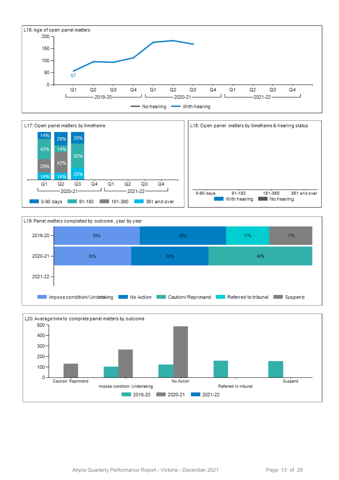





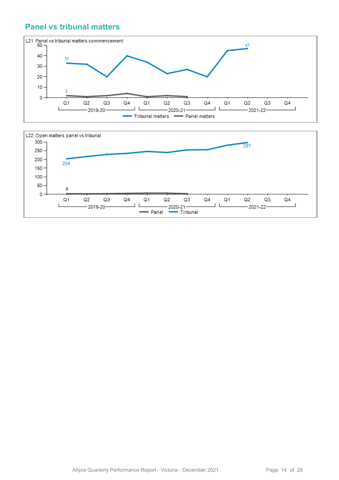#### **Panel vs tribunal matters**



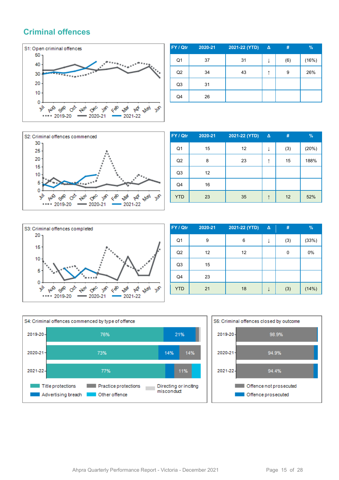#### **Criminal offences**



| FY / Qtr       | 2020-21 | 2021-22 (YTD) | $\Delta$ | #   | $\%$  |
|----------------|---------|---------------|----------|-----|-------|
| Q <sub>1</sub> | 37      | 31            | ↓        | (6) | (16%) |
| Q2             | 34      | 43            |          | 9   | 26%   |
| Q <sub>3</sub> | 31      |               |          |     |       |
| Q4             | 26      |               |          |     |       |



| FY / Qtr       | 2020-21 | 2021-22 (YTD) | Δ | #   | %     |
|----------------|---------|---------------|---|-----|-------|
| Q1             | 15      | 12            | J | (3) | (20%) |
| Q <sub>2</sub> | 8       | 23            | ↑ | 15  | 188%  |
| Q3             | 12      |               |   |     |       |
| Q4             | 16      |               |   |     |       |
| <b>YTD</b>     | 23      | 35            | ↑ | 12  | 52%   |



| FY / Qtr       | 2020-21 | 2021-22 (YTD) | $\Delta$ | #   | $\frac{9}{6}$ |
|----------------|---------|---------------|----------|-----|---------------|
| Q <sub>1</sub> | 9       | 6             | ↓        | (3) | (33%)         |
| Q2             | 12      | 12            |          | 0   | 0%            |
| Q <sub>3</sub> | 15      |               |          |     |               |
| Q4             | 23      |               |          |     |               |
| <b>YTD</b>     | 21      | 18            |          | (3) | (14%)         |



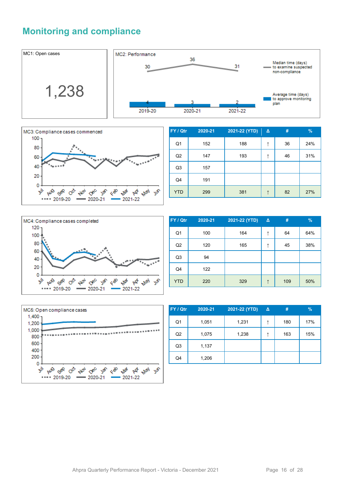### **Monitoring and compliance**





| FY / Qtr       | 2020-21 | 2021-22 (YTD) | Δ | #  | $\frac{9}{6}$ |
|----------------|---------|---------------|---|----|---------------|
| Q <sub>1</sub> | 152     | 188           | ↑ | 36 | 24%           |
| Q2             | 147     | 193           | ↑ | 46 | 31%           |
| Q <sub>3</sub> | 157     |               |   |    |               |
| Q4             | 191     |               |   |    |               |
| <b>YTD</b>     | 299     | 381           | ↑ | 82 | 27%           |



| FY / Qtr       | 2020-21 | 2021-22 (YTD) | $\Delta$ | #   | $\frac{9}{6}$ |
|----------------|---------|---------------|----------|-----|---------------|
| Q <sub>1</sub> | 100     | 164           | ↑        | 64  | 64%           |
| Q2             | 120     | 165           | ↑        | 45  | 38%           |
| Q <sub>3</sub> | 94      |               |          |     |               |
| Q4             | 122     |               |          |     |               |
| <b>YTD</b>     | 220     | 329           | ↑        | 109 | 50%           |



| FY / Qtr       | 2020-21 | 2021-22 (YTD) | Δ | #   | $\%$ |
|----------------|---------|---------------|---|-----|------|
| Q1             | 1,051   | 1,231         | ↑ | 180 | 17%  |
| Q <sub>2</sub> | 1,075   | 1,238         |   | 163 | 15%  |
| Q <sub>3</sub> | 1,137   |               |   |     |      |
| Q4             | 1,206   |               |   |     |      |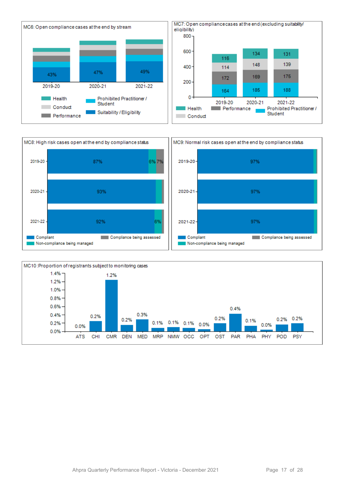



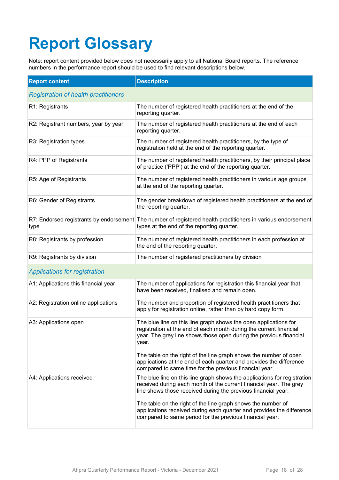# **Report Glossary**

Note: report content provided below does not necessarily apply to all National Board reports. The reference numbers in the performance report should be used to find relevant descriptions below.

| <b>Report content</b>                       | <b>Description</b>                                                                                                                                                                                                    |
|---------------------------------------------|-----------------------------------------------------------------------------------------------------------------------------------------------------------------------------------------------------------------------|
| <b>Registration of health practitioners</b> |                                                                                                                                                                                                                       |
| R1: Registrants                             | The number of registered health practitioners at the end of the<br>reporting quarter.                                                                                                                                 |
| R2: Registrant numbers, year by year        | The number of registered health practitioners at the end of each<br>reporting quarter.                                                                                                                                |
| R3: Registration types                      | The number of registered health practitioners, by the type of<br>registration held at the end of the reporting quarter.                                                                                               |
| R4: PPP of Registrants                      | The number of registered health practitioners, by their principal place<br>of practice ('PPP') at the end of the reporting quarter.                                                                                   |
| R5: Age of Registrants                      | The number of registered health practitioners in various age groups<br>at the end of the reporting quarter.                                                                                                           |
| R6: Gender of Registrants                   | The gender breakdown of registered health practitioners at the end of<br>the reporting quarter.                                                                                                                       |
| type                                        | R7: Endorsed registrants by endorsement The number of registered health practitioners in various endorsement<br>types at the end of the reporting quarter.                                                            |
| R8: Registrants by profession               | The number of registered health practitioners in each profession at<br>the end of the reporting quarter.                                                                                                              |
| R9: Registrants by division                 | The number of registered practitioners by division                                                                                                                                                                    |
| <b>Applications for registration</b>        |                                                                                                                                                                                                                       |
| A1: Applications this financial year        | The number of applications for registration this financial year that<br>have been received, finalised and remain open.                                                                                                |
| A2: Registration online applications        | The number and proportion of registered health practitioners that<br>apply for registration online, rather than by hard copy form.                                                                                    |
| A3: Applications open                       | The blue line on this line graph shows the open applications for<br>registration at the end of each month during the current financial<br>year. The grey line shows those open during the previous financial<br>year. |
|                                             | The table on the right of the line graph shows the number of open<br>applications at the end of each quarter and provides the difference<br>compared to same time for the previous financial year.                    |
| A4: Applications received                   | The blue line on this line graph shows the applications for registration<br>received during each month of the current financial year. The grey<br>line shows those received during the previous financial year.       |
|                                             | The table on the right of the line graph shows the number of<br>applications received during each quarter and provides the difference<br>compared to same period for the previous financial year.                     |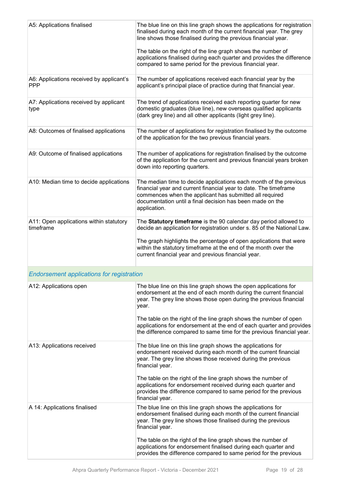| A5: Applications finalised                             | The blue line on this line graph shows the applications for registration<br>finalised during each month of the current financial year. The grey<br>line shows those finalised during the previous financial year.<br>The table on the right of the line graph shows the number of<br>applications finalised during each quarter and provides the difference<br>compared to same period for the previous financial year. |
|--------------------------------------------------------|-------------------------------------------------------------------------------------------------------------------------------------------------------------------------------------------------------------------------------------------------------------------------------------------------------------------------------------------------------------------------------------------------------------------------|
| A6: Applications received by applicant's<br><b>PPP</b> | The number of applications received each financial year by the<br>applicant's principal place of practice during that financial year.                                                                                                                                                                                                                                                                                   |
| A7: Applications received by applicant<br>type         | The trend of applications received each reporting quarter for new<br>domestic graduates (blue line), new overseas qualified applicants<br>(dark grey line) and all other applicants (light grey line).                                                                                                                                                                                                                  |
| A8: Outcomes of finalised applications                 | The number of applications for registration finalised by the outcome<br>of the application for the two previous financial years.                                                                                                                                                                                                                                                                                        |
| A9: Outcome of finalised applications                  | The number of applications for registration finalised by the outcome<br>of the application for the current and previous financial years broken<br>down into reporting quarters.                                                                                                                                                                                                                                         |
| A10: Median time to decide applications                | The median time to decide applications each month of the previous<br>financial year and current financial year to date. The timeframe<br>commences when the applicant has submitted all required<br>documentation until a final decision has been made on the<br>application.                                                                                                                                           |
| A11: Open applications within statutory<br>timeframe   | The Statutory timeframe is the 90 calendar day period allowed to<br>decide an application for registration under s. 85 of the National Law.<br>The graph highlights the percentage of open applications that were<br>within the statutory timeframe at the end of the month over the<br>current financial year and previous financial year.                                                                             |
| <b>Endorsement applications for registration</b>       |                                                                                                                                                                                                                                                                                                                                                                                                                         |
| A12: Applications open                                 | The blue line on this line graph shows the open applications for<br>endorsement at the end of each month during the current financial<br>year. The grey line shows those open during the previous financial<br>year.                                                                                                                                                                                                    |
|                                                        | The table on the right of the line graph shows the number of open<br>applications for endorsement at the end of each quarter and provides<br>the difference compared to same time for the previous financial year.                                                                                                                                                                                                      |
| A13: Applications received                             | The blue line on this line graph shows the applications for<br>endorsement received during each month of the current financial<br>year. The grey line shows those received during the previous<br>financial year.                                                                                                                                                                                                       |
|                                                        | The table on the right of the line graph shows the number of<br>applications for endorsement received during each quarter and<br>provides the difference compared to same period for the previous<br>financial year.                                                                                                                                                                                                    |
| A 14: Applications finalised                           | The blue line on this line graph shows the applications for<br>endorsement finalised during each month of the current financial<br>year. The grey line shows those finalised during the previous<br>financial year.                                                                                                                                                                                                     |
|                                                        | The table on the right of the line graph shows the number of<br>applications for endorsement finalised during each quarter and<br>provides the difference compared to same period for the previous                                                                                                                                                                                                                      |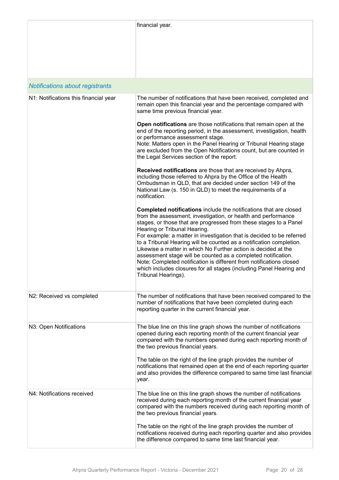|                                        | financial year.                                                                                                                                                                                                                                                                                                                                                                                                                                                                                                                                                                                                                                                                                 |
|----------------------------------------|-------------------------------------------------------------------------------------------------------------------------------------------------------------------------------------------------------------------------------------------------------------------------------------------------------------------------------------------------------------------------------------------------------------------------------------------------------------------------------------------------------------------------------------------------------------------------------------------------------------------------------------------------------------------------------------------------|
| <b>Notifications about registrants</b> |                                                                                                                                                                                                                                                                                                                                                                                                                                                                                                                                                                                                                                                                                                 |
| N1: Notifications this financial year  | The number of notifications that have been received, completed and<br>remain open this financial year and the percentage compared with<br>same time previous financial year.                                                                                                                                                                                                                                                                                                                                                                                                                                                                                                                    |
|                                        | Open notifications are those notifications that remain open at the<br>end of the reporting period, in the assessment, investigation, health<br>or performance assessment stage.<br>Note: Matters open in the Panel Hearing or Tribunal Hearing stage<br>are excluded from the Open Notifications count, but are counted in<br>the Legal Services section of the report.                                                                                                                                                                                                                                                                                                                         |
|                                        | Received notifications are those that are received by Ahpra,<br>including those referred to Ahpra by the Office of the Health<br>Ombudsman in QLD, that are decided under section 149 of the<br>National Law (s. 150 in QLD) to meet the requirements of a<br>notification.                                                                                                                                                                                                                                                                                                                                                                                                                     |
|                                        | Completed notifications include the notifications that are closed<br>from the assessment, investigation, or health and performance<br>stages, or those that are progressed from these stages to a Panel<br>Hearing or Tribunal Hearing.<br>For example: a matter in investigation that is decided to be referred<br>to a Tribunal Hearing will be counted as a notification completion.<br>Likewise a matter in which No Further action is decided at the<br>assessment stage will be counted as a completed notification.<br>Note: Completed notification is different from notifications closed<br>which includes closures for all stages (including Panel Hearing and<br>Tribunal Hearings). |
| N2: Received vs completed              | The number of notifications that have been received compared to the<br>number of notifications that have been completed during each<br>reporting quarter in the current financial year.                                                                                                                                                                                                                                                                                                                                                                                                                                                                                                         |
| N3: Open Notifications                 | The blue line on this line graph shows the number of notifications<br>opened during each reporting month of the current financial year<br>compared with the numbers opened during each reporting month of<br>the two previous financial years.<br>The table on the right of the line graph provides the number of<br>notifications that remained open at the end of each reporting quarter<br>and also provides the difference compared to same time last financial<br>year.                                                                                                                                                                                                                    |
| N4: Notifications received             | The blue line on this line graph shows the number of notifications<br>received during each reporting month of the current financial year<br>compared with the numbers received during each reporting month of<br>the two previous financial years.<br>The table on the right of the line graph provides the number of                                                                                                                                                                                                                                                                                                                                                                           |
|                                        | notifications received during each reporting quarter and also provides<br>the difference compared to same time last financial year.                                                                                                                                                                                                                                                                                                                                                                                                                                                                                                                                                             |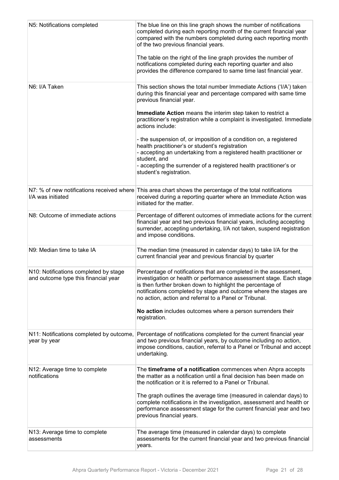| N5: Notifications completed                                                   | The blue line on this line graph shows the number of notifications<br>completed during each reporting month of the current financial year<br>compared with the numbers completed during each reporting month<br>of the two previous financial years.<br>The table on the right of the line graph provides the number of<br>notifications completed during each reporting quarter and also<br>provides the difference compared to same time last financial year. |
|-------------------------------------------------------------------------------|-----------------------------------------------------------------------------------------------------------------------------------------------------------------------------------------------------------------------------------------------------------------------------------------------------------------------------------------------------------------------------------------------------------------------------------------------------------------|
| N6: I/A Taken                                                                 | This section shows the total number Immediate Actions ('I/A') taken<br>during this financial year and percentage compared with same time<br>previous financial year.                                                                                                                                                                                                                                                                                            |
|                                                                               | Immediate Action means the interim step taken to restrict a<br>practitioner's registration while a complaint is investigated. Immediate<br>actions include:                                                                                                                                                                                                                                                                                                     |
|                                                                               | - the suspension of, or imposition of a condition on, a registered<br>health practitioner's or student's registration<br>- accepting an undertaking from a registered health practitioner or<br>student, and<br>- accepting the surrender of a registered health practitioner's or<br>student's registration.                                                                                                                                                   |
| I/A was initiated                                                             | N7: % of new notifications received where This area chart shows the percentage of the total notifications<br>received during a reporting quarter where an Immediate Action was<br>initiated for the matter.                                                                                                                                                                                                                                                     |
| N8: Outcome of immediate actions                                              | Percentage of different outcomes of immediate actions for the current<br>financial year and two previous financial years, including accepting<br>surrender, accepting undertaking, I/A not taken, suspend registration<br>and impose conditions.                                                                                                                                                                                                                |
| N9: Median time to take IA                                                    | The median time (measured in calendar days) to take I/A for the<br>current financial year and previous financial by quarter                                                                                                                                                                                                                                                                                                                                     |
| N10: Notifications completed by stage<br>and outcome type this financial year | Percentage of notifications that are completed in the assessment,<br>investigation or health or performance assessment stage. Each stage<br>is then further broken down to highlight the percentage of<br>notifications completed by stage and outcome where the stages are<br>no action, action and referral to a Panel or Tribunal.                                                                                                                           |
|                                                                               | No action includes outcomes where a person surrenders their<br>registration.                                                                                                                                                                                                                                                                                                                                                                                    |
| N11: Notifications completed by outcome,<br>year by year                      | Percentage of notifications completed for the current financial year<br>and two previous financial years, by outcome including no action,<br>impose conditions, caution, referral to a Panel or Tribunal and accept<br>undertaking.                                                                                                                                                                                                                             |
| N12: Average time to complete<br>notifications                                | The timeframe of a notification commences when Ahpra accepts<br>the matter as a notification until a final decision has been made on<br>the notification or it is referred to a Panel or Tribunal.                                                                                                                                                                                                                                                              |
|                                                                               | The graph outlines the average time (measured in calendar days) to<br>complete notifications in the investigation, assessment and health or<br>performance assessment stage for the current financial year and two<br>previous financial years.                                                                                                                                                                                                                 |
| N13: Average time to complete<br>assessments                                  | The average time (measured in calendar days) to complete<br>assessments for the current financial year and two previous financial<br>years.                                                                                                                                                                                                                                                                                                                     |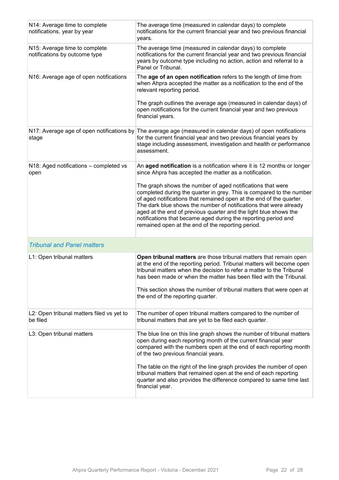| N14: Average time to complete<br>notifications, year by year   | The average time (measured in calendar days) to complete<br>notifications for the current financial year and two previous financial<br>years.                                                                                                                                                                                                                                                                                                                             |
|----------------------------------------------------------------|---------------------------------------------------------------------------------------------------------------------------------------------------------------------------------------------------------------------------------------------------------------------------------------------------------------------------------------------------------------------------------------------------------------------------------------------------------------------------|
| N15: Average time to complete<br>notifications by outcome type | The average time (measured in calendar days) to complete<br>notifications for the current financial year and two previous financial<br>years by outcome type including no action, action and referral to a<br>Panel or Tribunal.                                                                                                                                                                                                                                          |
| N16: Average age of open notifications                         | The age of an open notification refers to the length of time from<br>when Ahpra accepted the matter as a notification to the end of the<br>relevant reporting period.                                                                                                                                                                                                                                                                                                     |
|                                                                | The graph outlines the average age (measured in calendar days) of<br>open notifications for the current financial year and two previous<br>financial years.                                                                                                                                                                                                                                                                                                               |
| stage                                                          | N17: Average age of open notifications by The average age (measured in calendar days) of open notifications<br>for the current financial year and two previous financial years by<br>stage including assessment, investigation and health or performance<br>assessment.                                                                                                                                                                                                   |
| N18: Aged notifications - completed vs<br>open                 | An aged notification is a notification where it is 12 months or longer<br>since Ahpra has accepted the matter as a notification.                                                                                                                                                                                                                                                                                                                                          |
|                                                                | The graph shows the number of aged notifications that were<br>completed during the quarter in grey. This is compared to the number<br>of aged notifications that remained open at the end of the quarter.<br>The dark blue shows the number of notifications that were already<br>aged at the end of previous quarter and the light blue shows the<br>notifications that became aged during the reporting period and<br>remained open at the end of the reporting period. |
| <b>Tribunal and Panel matters</b>                              |                                                                                                                                                                                                                                                                                                                                                                                                                                                                           |
| L1: Open tribunal matters                                      | Open tribunal matters are those tribunal matters that remain open<br>at the end of the reporting period. Tribunal matters will become open<br>tribunal matters when the decision to refer a matter to the Tribunal<br>has been made or when the matter has been filed with the Tribunal.<br>This section shows the number of tribunal matters that were open at<br>the end of the reporting quarter.                                                                      |
| L2: Open tribunal matters filed vs yet to<br>be filed          | The number of open tribunal matters compared to the number of<br>tribunal matters that are yet to be filed each quarter.                                                                                                                                                                                                                                                                                                                                                  |
| L3: Open tribunal matters                                      | The blue line on this line graph shows the number of tribunal matters<br>open during each reporting month of the current financial year<br>compared with the numbers open at the end of each reporting month<br>of the two previous financial years.                                                                                                                                                                                                                      |
|                                                                | The table on the right of the line graph provides the number of open<br>tribunal matters that remained open at the end of each reporting<br>quarter and also provides the difference compared to same time last<br>financial year.                                                                                                                                                                                                                                        |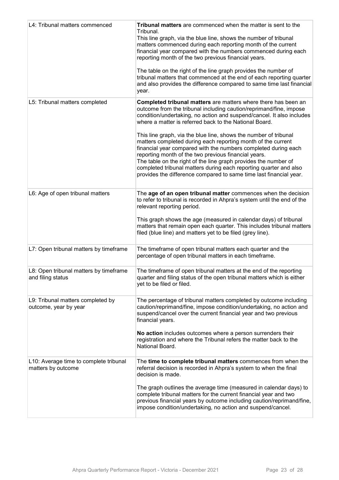| L4: Tribunal matters commenced                               | Tribunal matters are commenced when the matter is sent to the<br>Tribunal.<br>This line graph, via the blue line, shows the number of tribunal<br>matters commenced during each reporting month of the current<br>financial year compared with the numbers commenced during each<br>reporting month of the two previous financial years.<br>The table on the right of the line graph provides the number of<br>tribunal matters that commenced at the end of each reporting quarter<br>and also provides the difference compared to same time last financial<br>year.                                                                                                                                                                                      |
|--------------------------------------------------------------|------------------------------------------------------------------------------------------------------------------------------------------------------------------------------------------------------------------------------------------------------------------------------------------------------------------------------------------------------------------------------------------------------------------------------------------------------------------------------------------------------------------------------------------------------------------------------------------------------------------------------------------------------------------------------------------------------------------------------------------------------------|
| L5: Tribunal matters completed                               | <b>Completed tribunal matters</b> are matters where there has been an<br>outcome from the tribunal including caution/reprimand/fine, impose<br>condition/undertaking, no action and suspend/cancel. It also includes<br>where a matter is referred back to the National Board.<br>This line graph, via the blue line, shows the number of tribunal<br>matters completed during each reporting month of the current<br>financial year compared with the numbers completed during each<br>reporting month of the two previous financial years.<br>The table on the right of the line graph provides the number of<br>completed tribunal matters during each reporting quarter and also<br>provides the difference compared to same time last financial year. |
| L6: Age of open tribunal matters                             | The age of an open tribunal matter commences when the decision<br>to refer to tribunal is recorded in Ahpra's system until the end of the<br>relevant reporting period.<br>This graph shows the age (measured in calendar days) of tribunal<br>matters that remain open each quarter. This includes tribunal matters<br>filed (blue line) and matters yet to be filed (grey line).                                                                                                                                                                                                                                                                                                                                                                         |
| L7: Open tribunal matters by timeframe                       | The timeframe of open tribunal matters each quarter and the<br>percentage of open tribunal matters in each timeframe.                                                                                                                                                                                                                                                                                                                                                                                                                                                                                                                                                                                                                                      |
| L8: Open tribunal matters by timeframe<br>and filing status  | The timeframe of open tribunal matters at the end of the reporting<br>quarter and filing status of the open tribunal matters which is either<br>yet to be filed or filed.                                                                                                                                                                                                                                                                                                                                                                                                                                                                                                                                                                                  |
| L9: Tribunal matters completed by<br>outcome, year by year   | The percentage of tribunal matters completed by outcome including<br>caution/reprimand/fine, impose condition/undertaking, no action and<br>suspend/cancel over the current financial year and two previous<br>financial years.<br>No action includes outcomes where a person surrenders their<br>registration and where the Tribunal refers the matter back to the<br>National Board.                                                                                                                                                                                                                                                                                                                                                                     |
| L10: Average time to complete tribunal<br>matters by outcome | The time to complete tribunal matters commences from when the<br>referral decision is recorded in Ahpra's system to when the final<br>decision is made.<br>The graph outlines the average time (measured in calendar days) to<br>complete tribunal matters for the current financial year and two<br>previous financial years by outcome including caution/reprimand/fine,<br>impose condition/undertaking, no action and suspend/cancel.                                                                                                                                                                                                                                                                                                                  |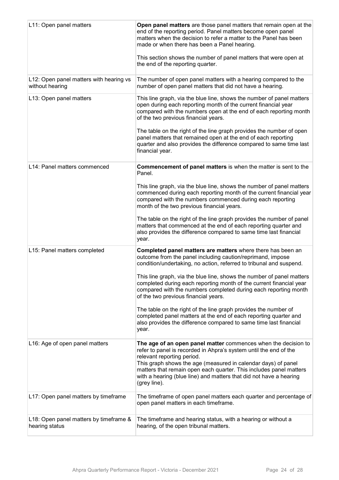| L11: Open panel matters                                    | Open panel matters are those panel matters that remain open at the<br>end of the reporting period. Panel matters become open panel<br>matters when the decision to refer a matter to the Panel has been<br>made or when there has been a Panel hearing.<br>This section shows the number of panel matters that were open at<br>the end of the reporting quarter.                               |
|------------------------------------------------------------|------------------------------------------------------------------------------------------------------------------------------------------------------------------------------------------------------------------------------------------------------------------------------------------------------------------------------------------------------------------------------------------------|
| L12: Open panel matters with hearing vs<br>without hearing | The number of open panel matters with a hearing compared to the<br>number of open panel matters that did not have a hearing.                                                                                                                                                                                                                                                                   |
| L13: Open panel matters                                    | This line graph, via the blue line, shows the number of panel matters<br>open during each reporting month of the current financial year<br>compared with the numbers open at the end of each reporting month<br>of the two previous financial years.                                                                                                                                           |
|                                                            | The table on the right of the line graph provides the number of open<br>panel matters that remained open at the end of each reporting<br>quarter and also provides the difference compared to same time last<br>financial year.                                                                                                                                                                |
| L14: Panel matters commenced                               | Commencement of panel matters is when the matter is sent to the<br>Panel.                                                                                                                                                                                                                                                                                                                      |
|                                                            | This line graph, via the blue line, shows the number of panel matters<br>commenced during each reporting month of the current financial year<br>compared with the numbers commenced during each reporting<br>month of the two previous financial years.                                                                                                                                        |
|                                                            | The table on the right of the line graph provides the number of panel<br>matters that commenced at the end of each reporting quarter and<br>also provides the difference compared to same time last financial<br>year.                                                                                                                                                                         |
| L15: Panel matters completed                               | Completed panel matters are matters where there has been an<br>outcome from the panel including caution/reprimand, impose<br>condition/undertaking, no action, referred to tribunal and suspend.                                                                                                                                                                                               |
|                                                            | This line graph, via the blue line, shows the number of panel matters<br>completed during each reporting month of the current financial year<br>compared with the numbers completed during each reporting month<br>of the two previous financial years.                                                                                                                                        |
|                                                            | The table on the right of the line graph provides the number of<br>completed panel matters at the end of each reporting quarter and<br>also provides the difference compared to same time last financial<br>year.                                                                                                                                                                              |
| L16: Age of open panel matters                             | The age of an open panel matter commences when the decision to<br>refer to panel is recorded in Ahpra's system until the end of the<br>relevant reporting period.<br>This graph shows the age (measured in calendar days) of panel<br>matters that remain open each quarter. This includes panel matters<br>with a hearing (blue line) and matters that did not have a hearing<br>(grey line). |
| L17: Open panel matters by timeframe                       | The timeframe of open panel matters each quarter and percentage of<br>open panel matters in each timeframe.                                                                                                                                                                                                                                                                                    |
| L18: Open panel matters by timeframe &<br>hearing status   | The timeframe and hearing status, with a hearing or without a<br>hearing, of the open tribunal matters.                                                                                                                                                                                                                                                                                        |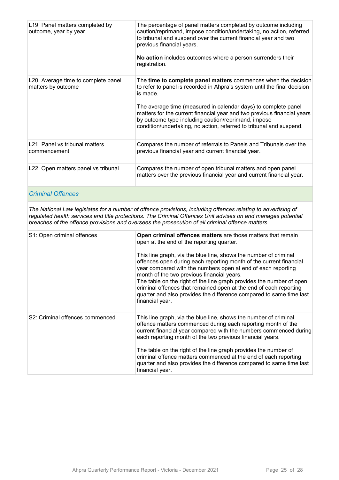| L19: Panel matters completed by<br>outcome, year by year    | The percentage of panel matters completed by outcome including<br>caution/reprimand, impose condition/undertaking, no action, referred<br>to tribunal and suspend over the current financial year and two<br>previous financial years.<br>No action includes outcomes where a person surrenders their<br>registration.                                                                                                            |
|-------------------------------------------------------------|-----------------------------------------------------------------------------------------------------------------------------------------------------------------------------------------------------------------------------------------------------------------------------------------------------------------------------------------------------------------------------------------------------------------------------------|
| L20: Average time to complete panel<br>matters by outcome   | The time to complete panel matters commences when the decision<br>to refer to panel is recorded in Ahpra's system until the final decision<br>is made.<br>The average time (measured in calendar days) to complete panel<br>matters for the current financial year and two previous financial years<br>by outcome type including caution/reprimand, impose<br>condition/undertaking, no action, referred to tribunal and suspend. |
| L <sub>21</sub> : Panel vs tribunal matters<br>commencement | Compares the number of referrals to Panels and Tribunals over the<br>previous financial year and current financial year.                                                                                                                                                                                                                                                                                                          |
| L22: Open matters panel vs tribunal                         | Compares the number of open tribunal matters and open panel<br>matters over the previous financial year and current financial year.                                                                                                                                                                                                                                                                                               |

#### *Criminal Offences*

*The National Law legislates for a number of offence provisions, including offences relating to advertising of regulated health services and title protections. The Criminal Offences Unit advises on and manages potential breaches of the offence provisions and oversees the prosecution of all criminal offence matters.*

| S1: Open criminal offences      | Open criminal offences matters are those matters that remain<br>open at the end of the reporting quarter.<br>This line graph, via the blue line, shows the number of criminal<br>offences open during each reporting month of the current financial<br>year compared with the numbers open at end of each reporting<br>month of the two previous financial years.<br>The table on the right of the line graph provides the number of open<br>criminal offences that remained open at the end of each reporting<br>quarter and also provides the difference compared to same time last<br>financial year. |
|---------------------------------|----------------------------------------------------------------------------------------------------------------------------------------------------------------------------------------------------------------------------------------------------------------------------------------------------------------------------------------------------------------------------------------------------------------------------------------------------------------------------------------------------------------------------------------------------------------------------------------------------------|
| S2: Criminal offences commenced | This line graph, via the blue line, shows the number of criminal<br>offence matters commenced during each reporting month of the<br>current financial year compared with the numbers commenced during<br>each reporting month of the two previous financial years.                                                                                                                                                                                                                                                                                                                                       |
|                                 | The table on the right of the line graph provides the number of<br>criminal offence matters commenced at the end of each reporting<br>quarter and also provides the difference compared to same time last<br>financial year.                                                                                                                                                                                                                                                                                                                                                                             |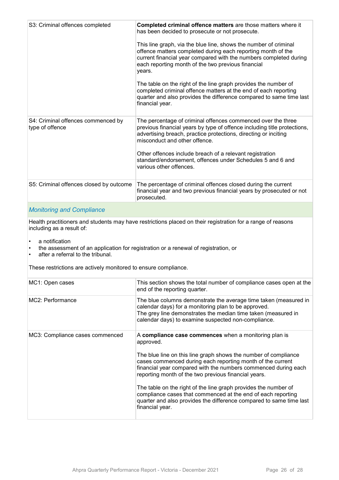| S3: Criminal offences completed                       | Completed criminal offence matters are those matters where it<br>has been decided to prosecute or not prosecute.<br>This line graph, via the blue line, shows the number of criminal<br>offence matters completed during each reporting month of the<br>current financial year compared with the numbers completed during<br>each reporting month of the two previous financial<br>years.<br>The table on the right of the line graph provides the number of<br>completed criminal offence matters at the end of each reporting<br>quarter and also provides the difference compared to same time last<br>financial year. |
|-------------------------------------------------------|---------------------------------------------------------------------------------------------------------------------------------------------------------------------------------------------------------------------------------------------------------------------------------------------------------------------------------------------------------------------------------------------------------------------------------------------------------------------------------------------------------------------------------------------------------------------------------------------------------------------------|
| S4: Criminal offences commenced by<br>type of offence | The percentage of criminal offences commenced over the three<br>previous financial years by type of offence including title protections,<br>advertising breach, practice protections, directing or inciting<br>misconduct and other offence.<br>Other offences include breach of a relevant registration<br>standard/endorsement, offences under Schedules 5 and 6 and<br>various other offences.                                                                                                                                                                                                                         |
| S5: Criminal offences closed by outcome               | The percentage of criminal offences closed during the current<br>financial year and two previous financial years by prosecuted or not<br>prosecuted.                                                                                                                                                                                                                                                                                                                                                                                                                                                                      |
|                                                       |                                                                                                                                                                                                                                                                                                                                                                                                                                                                                                                                                                                                                           |

#### *Monitoring and Compliance*

Health practitioners and students may have restrictions placed on their registration for a range of reasons including as a result of:

- a notification
- the assessment of an application for registration or a renewal of registration, or
- after a referral to the tribunal.

These restrictions are actively monitored to ensure compliance.

| MC1: Open cases                 | This section shows the total number of compliance cases open at the<br>end of the reporting quarter.                                                                                                                                                                                                                                                                                                                                                                                                                                                       |
|---------------------------------|------------------------------------------------------------------------------------------------------------------------------------------------------------------------------------------------------------------------------------------------------------------------------------------------------------------------------------------------------------------------------------------------------------------------------------------------------------------------------------------------------------------------------------------------------------|
| MC2: Performance                | The blue columns demonstrate the average time taken (measured in<br>calendar days) for a monitoring plan to be approved.<br>The grey line demonstrates the median time taken (measured in<br>calendar days) to examine suspected non-compliance.                                                                                                                                                                                                                                                                                                           |
| MC3: Compliance cases commenced | A compliance case commences when a monitoring plan is<br>approved.<br>The blue line on this line graph shows the number of compliance<br>cases commenced during each reporting month of the current<br>financial year compared with the numbers commenced during each<br>reporting month of the two previous financial years.<br>The table on the right of the line graph provides the number of<br>compliance cases that commenced at the end of each reporting<br>quarter and also provides the difference compared to same time last<br>financial year. |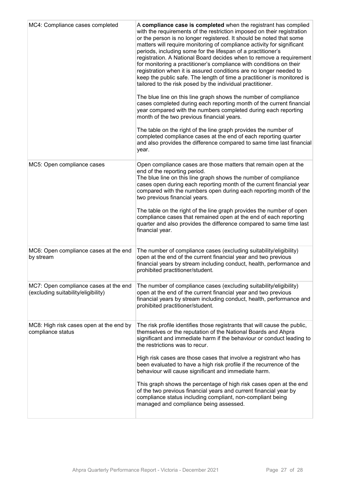| MC4: Compliance cases completed                                              | A compliance case is completed when the registrant has complied<br>with the requirements of the restriction imposed on their registration<br>or the person is no longer registered. It should be noted that some<br>matters will require monitoring of compliance activity for significant<br>periods, including some for the lifespan of a practitioner's<br>registration. A National Board decides when to remove a requirement<br>for monitoring a practitioner's compliance with conditions on their<br>registration when it is assured conditions are no longer needed to<br>keep the public safe. The length of time a practitioner is monitored is<br>tailored to the risk posed by the individual practitioner.<br>The blue line on this line graph shows the number of compliance<br>cases completed during each reporting month of the current financial<br>year compared with the numbers completed during each reporting<br>month of the two previous financial years.<br>The table on the right of the line graph provides the number of<br>completed compliance cases at the end of each reporting quarter<br>and also provides the difference compared to same time last financial<br>year. |
|------------------------------------------------------------------------------|------------------------------------------------------------------------------------------------------------------------------------------------------------------------------------------------------------------------------------------------------------------------------------------------------------------------------------------------------------------------------------------------------------------------------------------------------------------------------------------------------------------------------------------------------------------------------------------------------------------------------------------------------------------------------------------------------------------------------------------------------------------------------------------------------------------------------------------------------------------------------------------------------------------------------------------------------------------------------------------------------------------------------------------------------------------------------------------------------------------------------------------------------------------------------------------------------------|
| MC5: Open compliance cases                                                   | Open compliance cases are those matters that remain open at the<br>end of the reporting period.<br>The blue line on this line graph shows the number of compliance<br>cases open during each reporting month of the current financial year<br>compared with the numbers open during each reporting month of the<br>two previous financial years.<br>The table on the right of the line graph provides the number of open<br>compliance cases that remained open at the end of each reporting<br>quarter and also provides the difference compared to same time last<br>financial year.                                                                                                                                                                                                                                                                                                                                                                                                                                                                                                                                                                                                                     |
| MC6: Open compliance cases at the end<br>by stream                           | The number of compliance cases (excluding suitability/eligibility)<br>open at the end of the current financial year and two previous<br>financial years by stream including conduct, health, performance and<br>prohibited practitioner/student.                                                                                                                                                                                                                                                                                                                                                                                                                                                                                                                                                                                                                                                                                                                                                                                                                                                                                                                                                           |
| MC7: Open compliance cases at the end<br>(excluding suitability/eligibility) | The number of compliance cases (excluding suitability/eligibility)<br>open at the end of the current financial year and two previous<br>financial years by stream including conduct, health, performance and<br>prohibited practitioner/student.                                                                                                                                                                                                                                                                                                                                                                                                                                                                                                                                                                                                                                                                                                                                                                                                                                                                                                                                                           |
| MC8: High risk cases open at the end by<br>compliance status                 | The risk profile identifies those registrants that will cause the public,<br>themselves or the reputation of the National Boards and Ahpra<br>significant and immediate harm if the behaviour or conduct leading to<br>the restrictions was to recur.<br>High risk cases are those cases that involve a registrant who has<br>been evaluated to have a high risk profile if the recurrence of the<br>behaviour will cause significant and immediate harm.<br>This graph shows the percentage of high risk cases open at the end<br>of the two previous financial years and current financial year by<br>compliance status including compliant, non-compliant being<br>managed and compliance being assessed.                                                                                                                                                                                                                                                                                                                                                                                                                                                                                               |